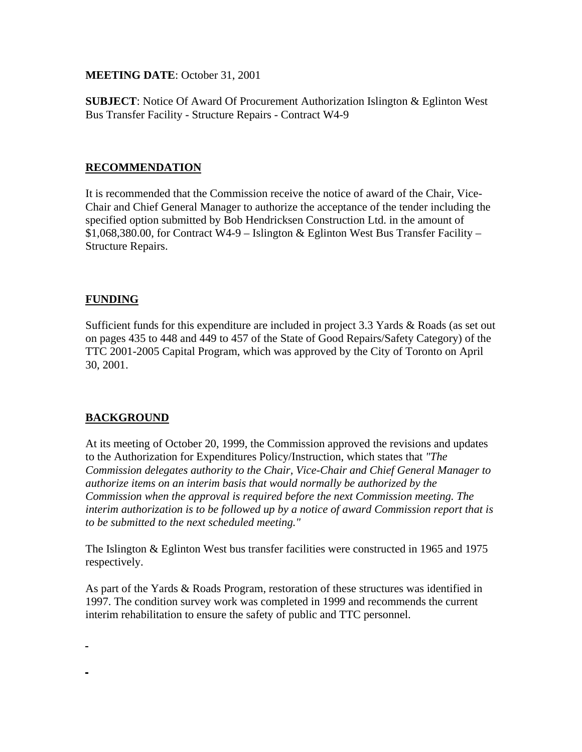**MEETING DATE**: October 31, 2001

**SUBJECT**: Notice Of Award Of Procurement Authorization Islington & Eglinton West Bus Transfer Facility - Structure Repairs - Contract W4-9

### **RECOMMENDATION**

It is recommended that the Commission receive the notice of award of the Chair, Vice-Chair and Chief General Manager to authorize the acceptance of the tender including the specified option submitted by Bob Hendricksen Construction Ltd. in the amount of  $$1,068,380.00$ , for Contract W4-9 – Islington & Eglinton West Bus Transfer Facility – Structure Repairs.

### **FUNDING**

Sufficient funds for this expenditure are included in project 3.3 Yards & Roads (as set out on pages 435 to 448 and 449 to 457 of the State of Good Repairs/Safety Category) of the TTC 2001-2005 Capital Program, which was approved by the City of Toronto on April 30, 2001.

### **BACKGROUND**

At its meeting of October 20, 1999, the Commission approved the revisions and updates to the Authorization for Expenditures Policy/Instruction, which states that *"The Commission delegates authority to the Chair, Vice-Chair and Chief General Manager to authorize items on an interim basis that would normally be authorized by the Commission when the approval is required before the next Commission meeting. The interim authorization is to be followed up by a notice of award Commission report that is to be submitted to the next scheduled meeting."* 

The Islington & Eglinton West bus transfer facilities were constructed in 1965 and 1975 respectively.

As part of the Yards & Roads Program, restoration of these structures was identified in 1997. The condition survey work was completed in 1999 and recommends the current interim rehabilitation to ensure the safety of public and TTC personnel.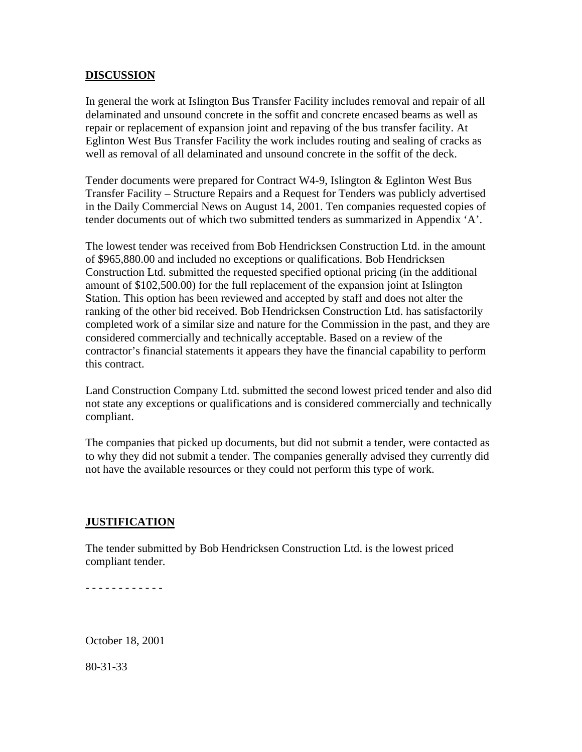#### **DISCUSSION**

In general the work at Islington Bus Transfer Facility includes removal and repair of all delaminated and unsound concrete in the soffit and concrete encased beams as well as repair or replacement of expansion joint and repaving of the bus transfer facility. At Eglinton West Bus Transfer Facility the work includes routing and sealing of cracks as well as removal of all delaminated and unsound concrete in the soffit of the deck.

Tender documents were prepared for Contract W4-9, Islington & Eglinton West Bus Transfer Facility – Structure Repairs and a Request for Tenders was publicly advertised in the Daily Commercial News on August 14, 2001. Ten companies requested copies of tender documents out of which two submitted tenders as summarized in Appendix 'A'.

The lowest tender was received from Bob Hendricksen Construction Ltd. in the amount of \$965,880.00 and included no exceptions or qualifications. Bob Hendricksen Construction Ltd. submitted the requested specified optional pricing (in the additional amount of \$102,500.00) for the full replacement of the expansion joint at Islington Station. This option has been reviewed and accepted by staff and does not alter the ranking of the other bid received. Bob Hendricksen Construction Ltd. has satisfactorily completed work of a similar size and nature for the Commission in the past, and they are considered commercially and technically acceptable. Based on a review of the contractor's financial statements it appears they have the financial capability to perform this contract.

Land Construction Company Ltd. submitted the second lowest priced tender and also did not state any exceptions or qualifications and is considered commercially and technically compliant.

The companies that picked up documents, but did not submit a tender, were contacted as to why they did not submit a tender. The companies generally advised they currently did not have the available resources or they could not perform this type of work.

### **JUSTIFICATION**

The tender submitted by Bob Hendricksen Construction Ltd. is the lowest priced compliant tender.

- - - - - - - - - - - -

October 18, 2001

80-31-33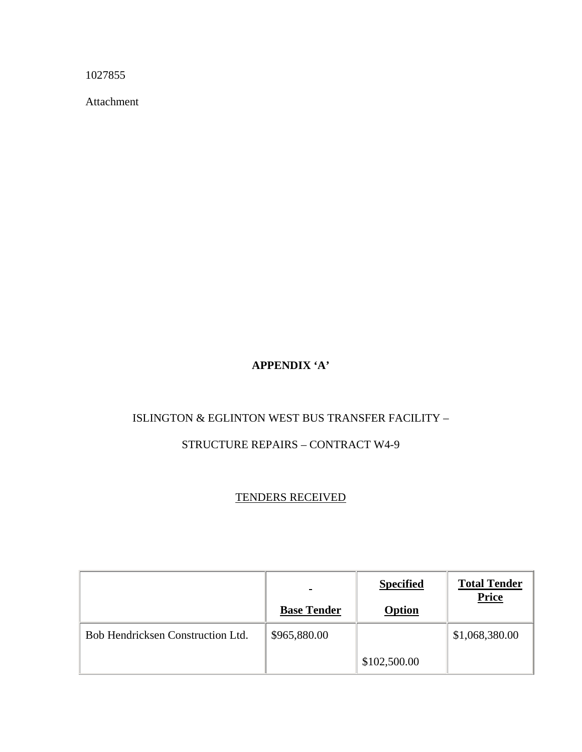1027855

Attachment

# **APPENDIX 'A'**

## ISLINGTON & EGLINTON WEST BUS TRANSFER FACILITY –

## STRUCTURE REPAIRS – CONTRACT W4-9

## TENDERS RECEIVED

|                                   | <b>Base Tender</b> | <b>Specified</b><br><b>Option</b> | <b>Total Tender</b><br><b>Price</b> |
|-----------------------------------|--------------------|-----------------------------------|-------------------------------------|
| Bob Hendricksen Construction Ltd. | \$965,880.00       |                                   | \$1,068,380.00                      |
|                                   |                    | \$102,500.00                      |                                     |